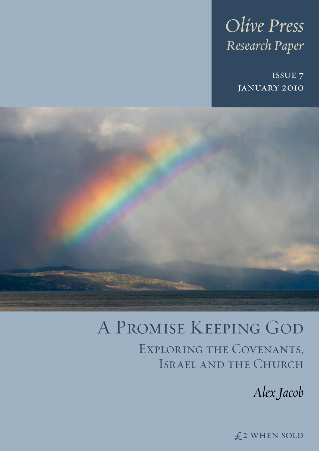# *Olive Press Research Paper*

issue 7 january 2010



# A Promise Keeping God Exploring the Covenants, Israel and the Church

*Alex Jacob*

£2 when sold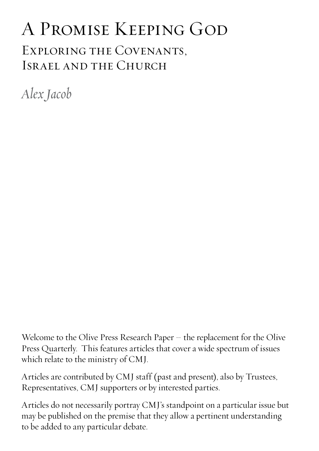# A Promise Keeping God Exploring the Covenants, Israel and the Church

*Alex Jacob*

Welcome to the Olive Press Research Paper – the replacement for the Olive Press Quarterly. This features articles that cover a wide spectrum of issues which relate to the ministry of CMJ.

Articles are contributed by CMJ staff (past and present), also by Trustees, Representatives, CMJ supporters or by interested parties.

Articles do not necessarily portray CMJ's standpoint on a particular issue but may be published on the premise that they allow a pertinent understanding to be added to any particular debate.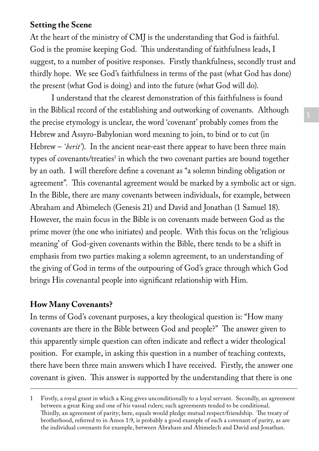# **Setting the Scene**

At the heart of the ministry of CMJ is the understanding that God is faithful. God is the promise keeping God. This understanding of faithfulness leads, I suggest, to a number of positive responses. Firstly thankfulness, secondly trust and thirdly hope. We see God's faithfulness in terms of the past (what God has done) the present (what God is doing) and into the future (what God will do).

I understand that the clearest demonstration of this faithfulness is found in the Biblical record of the establishing and outworking of covenants. Although the precise etymology is unclear, the word 'covenant' probably comes from the Hebrew and Assyro-Babylonian word meaning to join, to bind or to cut (in Hebrew – *'berit'*). In the ancient near-east there appear to have been three main types of covenants/treaties<sup>1</sup> in which the two covenant parties are bound together by an oath. I will therefore define a covenant as "a solemn binding obligation or agreement". This covenantal agreement would be marked by a symbolic act or sign. In the Bible, there are many covenants between individuals, for example, between Abraham and Abimelech (Genesis 21) and David and Jonathan (1 Samuel 18). However, the main focus in the Bible is on covenants made between God as the prime mover (the one who initiates) and people. With this focus on the 'religious meaning' of God-given covenants within the Bible, there tends to be a shift in emphasis from two parties making a solemn agreement, to an understanding of the giving of God in terms of the outpouring of God's grace through which God brings His covenantal people into significant relationship with Him.

# **How Many Covenants?**

In terms of God's covenant purposes, a key theological question is: "How many covenants are there in the Bible between God and people?" The answer given to this apparently simple question can often indicate and reflect a wider theological position. For example, in asking this question in a number of teaching contexts, there have been three main answers which I have received. Firstly, the answer one covenant is given. This answer is supported by the understanding that there is one

<sup>1</sup> Firstly, a royal grant in which a King gives unconditionally to a loyal servant. Secondly, an agreement between a great King and one of his vassal rulers; such agreements tended to be conditional. Thirdly, an agreement of parity; here, equals would pledge mutual respect/friendship. The treaty of brotherhood, referred to in Amos 1:9, is probably a good example of such a covenant of parity, as are the individual covenants for example, between Abraham and Abimelech and David and Jonathan.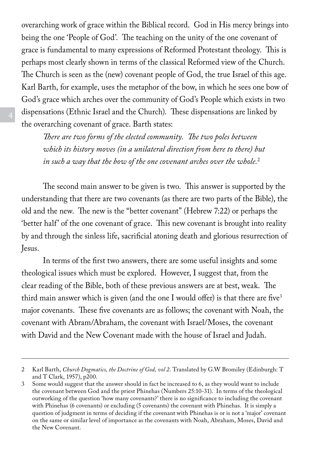overarching work of grace within the Biblical record. God in His mercy brings into being the one 'People of God'. The teaching on the unity of the one covenant of grace is fundamental to many expressions of Reformed Protestant theology. This is perhaps most clearly shown in terms of the classical Reformed view of the Church. The Church is seen as the (new) covenant people of God, the true Israel of this age. Karl Barth, for example, uses the metaphor of the bow, in which he sees one bow of God's grace which arches over the community of God's People which exists in two dispensations (Ethnic Israel and the Church). These dispensations are linked by the overarching covenant of grace. Barth states:

*There are two forms of the elected community. The two poles between which its history moves (in a unilateral direction from here to there) but in such a way that the bow of the one covenant arches over the whole.*<sup>2</sup>

The second main answer to be given is two. This answer is supported by the understanding that there are two covenants (as there are two parts of the Bible), the old and the new. The new is the "better covenant" (Hebrew 7:22) or perhaps the 'better half' of the one covenant of grace. This new covenant is brought into reality by and through the sinless life, sacrificial atoning death and glorious resurrection of Jesus.

In terms of the first two answers, there are some useful insights and some theological issues which must be explored. However, I suggest that, from the clear reading of the Bible, both of these previous answers are at best, weak. The third main answer which is given (and the one I would offer) is that there are five<sup>3</sup> major covenants. These five covenants are as follows; the covenant with Noah, the covenant with Abram/Abraham, the covenant with Israel/Moses, the covenant with David and the New Covenant made with the house of Israel and Judah.

<sup>2</sup> Karl Barth, *Church Dogmatics, the Doctrine of God, vol 2*. Translated by G.W Bromiley (Edinburgh: T and T Clark, 1957), p200.

<sup>3</sup> Some would suggest that the answer should in fact be increased to 6, as they would want to include the covenant between God and the priest Phinehas (Numbers 25:10-31). In terms of the theological outworking of the question 'how many covenants?' there is no significance to including the covenant with Phinehas (6 covenants) or excluding (5 covenants) the covenant with Phinehas. It is simply a question of judgment in terms of deciding if the covenant with Phinehas is or is not a 'major' covenant on the same or similar level of importance as the covenants with Noah, Abraham, Moses, David and the New Covenant.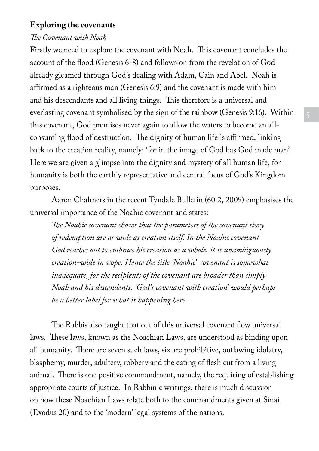## **Exploring the covenants**

### *The Covenant with Noah*

Firstly we need to explore the covenant with Noah. This covenant concludes the account of the flood (Genesis 6-8) and follows on from the revelation of God already gleamed through God's dealing with Adam, Cain and Abel. Noah is affirmed as a righteous man (Genesis 6:9) and the covenant is made with him and his descendants and all living things. This therefore is a universal and everlasting covenant symbolised by the sign of the rainbow (Genesis 9:16). Within this covenant, God promises never again to allow the waters to become an allconsuming flood of destruction. The dignity of human life is affirmed, linking back to the creation reality, namely; 'for in the image of God has God made man'. Here we are given a glimpse into the dignity and mystery of all human life, for humanity is both the earthly representative and central focus of God's Kingdom purposes.

Aaron Chalmers in the recent Tyndale Bulletin (60.2, 2009) emphasises the universal importance of the Noahic covenant and states:

*The Noahic covenant shows that the parameters of the covenant story of redemption are as wide as creation itself. In the Noahic covenant God reaches out to embrace his creation as a whole, it is unambiguously creation-wide in scope. Hence the title 'Noahic' covenant is somewhat inadequate, for the recipients of the covenant are broader than simply Noah and his descendents. 'God's covenant with creation' would perhaps be a better label for what is happening here.*

The Rabbis also taught that out of this universal covenant flow universal laws. These laws, known as the Noachian Laws, are understood as binding upon all humanity. There are seven such laws, six are prohibitive, outlawing idolatry, blasphemy, murder, adultery, robbery and the eating of flesh cut from a living animal. There is one positive commandment, namely, the requiring of establishing appropriate courts of justice. In Rabbinic writings, there is much discussion on how these Noachian Laws relate both to the commandments given at Sinai (Exodus 20) and to the 'modern' legal systems of the nations.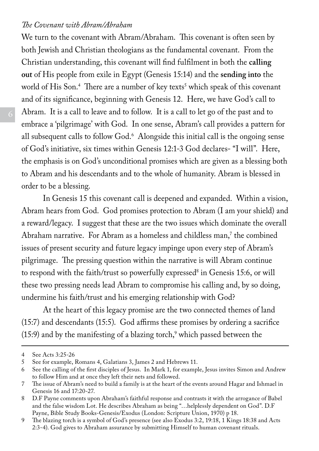### *The Covenant with Abram/Abraham*

We turn to the covenant with Abram/Abraham. This covenant is often seen by both Jewish and Christian theologians as the fundamental covenant. From the Christian understanding, this covenant will find fulfilment in both the **calling out** of His people from exile in Egypt (Genesis 15:14) and the **sending into** the world of His Son.<sup>4</sup> There are a number of key texts<sup>5</sup> which speak of this covenant and of its significance, beginning with Genesis 12. Here, we have God's call to Abram. It is a call to leave and to follow. It is a call to let go of the past and to embrace a 'pilgrimage' with God. In one sense, Abram's call provides a pattern for all subsequent calls to follow God.<sup>6</sup> Alongside this initial call is the ongoing sense of God's initiative, six times within Genesis 12:1-3 God declares- "I will". Here, the emphasis is on God's unconditional promises which are given as a blessing both to Abram and his descendants and to the whole of humanity. Abram is blessed in order to be a blessing.

In Genesis 15 this covenant call is deepened and expanded. Within a vision, Abram hears from God. God promises protection to Abram (I am your shield) and a reward/legacy. I suggest that these are the two issues which dominate the overall Abraham narrative. For Abram as a homeless and childless man,7 the combined issues of present security and future legacy impinge upon every step of Abram's pilgrimage. The pressing question within the narrative is will Abram continue to respond with the faith/trust so powerfully expressed<sup>8</sup> in Genesis 15:6, or will these two pressing needs lead Abram to compromise his calling and, by so doing, undermine his faith/trust and his emerging relationship with God?

At the heart of this legacy promise are the two connected themes of land (15:7) and descendants (15:5). God affirms these promises by ordering a sacrifice  $(15.9)$  and by the manifesting of a blazing torch, $\degree$  which passed between the

<sup>4</sup> See Acts 3:25-26<br>5 See for example.

<sup>5</sup> See for example, Romans 4, Galatians 3, James 2 and Hebrews 11.

<sup>6</sup> See the calling of the first disciples of Jesus. In Mark 1, for example, Jesus invites Simon and Andrew to follow Him and at once they left their nets and followed.

<sup>7</sup> The issue of Abram's need to build a family is at the heart of the events around Hagar and Ishmael in Genesis 16 and 17:20-27.

<sup>8</sup> D.F Payne comments upon Abraham's faithful response and contrasts it with the arrogance of Babel and the false wisdom Lot. He describes Abraham as being "…helplessly dependent on God". D.F Payne, Bible Study Books-Genesis/Exodus (London: Scripture Union, 1970) p 18.

<sup>9</sup> The blazing torch is a symbol of God's presence (see also Exodus 3:2, 19:18, 1 Kings 18:38 and Acts 2:3-4). God gives to Abraham assurance by submitting Himself to human covenant rituals.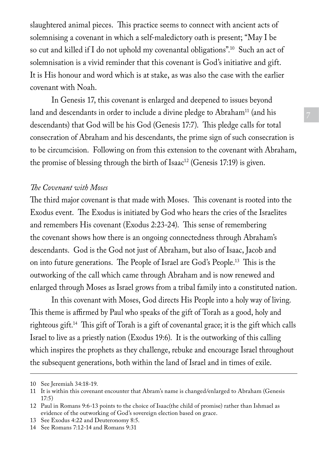slaughtered animal pieces. This practice seems to connect with ancient acts of solemnising a covenant in which a self-maledictory oath is present; "May I be so cut and killed if I do not uphold my covenantal obligations".10 Such an act of solemnisation is a vivid reminder that this covenant is God's initiative and gift. It is His honour and word which is at stake, as was also the case with the earlier covenant with Noah.

In Genesis 17, this covenant is enlarged and deepened to issues beyond land and descendants in order to include a divine pledge to Abraham<sup>11</sup> (and his descendants) that God will be his God (Genesis 17:7). This pledge calls for total consecration of Abraham and his descendants, the prime sign of such consecration is to be circumcision. Following on from this extension to the covenant with Abraham, the promise of blessing through the birth of Isaac<sup>12</sup> (Genesis 17:19) is given.

## *The Covenant with Moses*

The third major covenant is that made with Moses. This covenant is rooted into the Exodus event. The Exodus is initiated by God who hears the cries of the Israelites and remembers His covenant (Exodus 2:23-24). This sense of remembering the covenant shows how there is an ongoing connectedness through Abraham's descendants. God is the God not just of Abraham, but also of Isaac, Jacob and on into future generations. The People of Israel are God's People.13 This is the outworking of the call which came through Abraham and is now renewed and enlarged through Moses as Israel grows from a tribal family into a constituted nation.

In this covenant with Moses, God directs His People into a holy way of living. This theme is affirmed by Paul who speaks of the gift of Torah as a good, holy and righteous gift.14 This gift of Torah is a gift of covenantal grace; it is the gift which calls Israel to live as a priestly nation (Exodus 19:6). It is the outworking of this calling which inspires the prophets as they challenge, rebuke and encourage Israel throughout the subsequent generations, both within the land of Israel and in times of exile.

<sup>10</sup> See Jeremiah 34:18-19.

<sup>11</sup> It is within this covenant encounter that Abram's name is changed/enlarged to Abraham (Genesis 17:5)

<sup>12</sup> Paul in Romans 9:6-13 points to the choice of Isaac(the child of promise) rather than Ishmael as evidence of the outworking of God's sovereign election based on grace.

<sup>13</sup> See Exodus 4:22 and Deuteronomy 8:5.

<sup>14</sup> See Romans 7:12-14 and Romans 9:31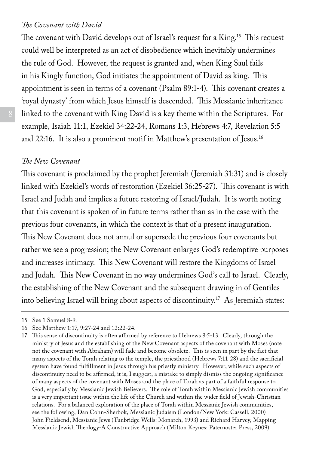#### *The Covenant with David*

The covenant with David develops out of Israel's request for a King.<sup>15</sup> This request could well be interpreted as an act of disobedience which inevitably undermines the rule of God. However, the request is granted and, when King Saul fails in his Kingly function, God initiates the appointment of David as king. This appointment is seen in terms of a covenant (Psalm 89:1-4). This covenant creates a 'royal dynasty' from which Jesus himself is descended. This Messianic inheritance linked to the covenant with King David is a key theme within the Scriptures. For example, Isaiah 11:1, Ezekiel 34:22-24, Romans 1:3, Hebrews 4:7, Revelation 5:5 and 22:16. It is also a prominent motif in Matthew's presentation of Jesus.16

## *The New Covenant*

This covenant is proclaimed by the prophet Jeremiah (Jeremiah 31:31) and is closely linked with Ezekiel's words of restoration (Ezekiel 36:25-27). This covenant is with Israel and Judah and implies a future restoring of Israel/Judah. It is worth noting that this covenant is spoken of in future terms rather than as in the case with the previous four covenants, in which the context is that of a present inauguration. This New Covenant does not annul or supersede the previous four covenants but rather we see a progression; the New Covenant enlarges God's redemptive purposes and increases intimacy. This New Covenant will restore the Kingdoms of Israel and Judah. This New Covenant in no way undermines God's call to Israel. Clearly, the establishing of the New Covenant and the subsequent drawing in of Gentiles into believing Israel will bring about aspects of discontinuity.17 As Jeremiah states:

<sup>15</sup> See 1 Samuel 8-9.

<sup>16</sup> See Matthew 1:17, 9:27-24 and 12:22-24.

<sup>17</sup> This sense of discontinuity is often affirmed by reference to Hebrews 8:5-13. Clearly, through the ministry of Jesus and the establishing of the New Covenant aspects of the covenant with Moses (note not the covenant with Abraham) will fade and become obsolete. This is seen in part by the fact that many aspects of the Torah relating to the temple, the priesthood (Hebrews 7:11-28) and the sacrificial system have found fulfillment in Jesus through his priestly ministry. However, while such aspects of discontinuity need to be affirmed, it is, I suggest, a mistake to simply dismiss the ongoing significance of many aspects of the covenant with Moses and the place of Torah as part of a faithful response to God, especially by Messianic Jewish Believers. The role of Torah within Messianic Jewish communities is a very important issue within the life of the Church and within the wider field of Jewish-Christian relations. For a balanced exploration of the place of Torah within Messianic Jewish communities, see the following, Dan Cohn-Sherbok, Messianic Judaism (London/New York: Cassell, 2000) John Fieldsend, Messianic Jews (Tunbridge Wells: Monarch, 1993) and Richard Harvey, Mapping Messianic Jewish Theology-A Constructive Approach (Milton Keynes: Paternoster Press, 2009).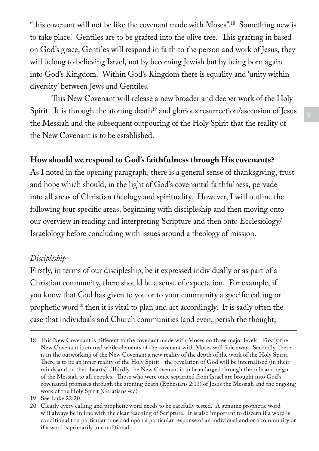"this covenant will not be like the covenant made with Moses".18 Something new is to take place! Gentiles are to be grafted into the olive tree. This grafting in based on God's grace, Gentiles will respond in faith to the person and work of Jesus, they will belong to believing Israel, not by becoming Jewish but by being born again into God's Kingdom. Within God's Kingdom there is equality and 'unity within diversity' between Jews and Gentiles.

This New Covenant will release a new broader and deeper work of the Holy Spirit. It is through the atoning death<sup>19</sup> and glorious resurrection/ascension of Jesus the Messiah and the subsequent outpouring of the Holy Spirit that the reality of the New Covenant is to be established.

# **How should we respond to God's faithfulness through His covenants?**

As I noted in the opening paragraph, there is a general sense of thanksgiving, trust and hope which should, in the light of God's covenantal faithfulness, pervade into all areas of Christian theology and spirituality. However, I will outline the following four specific areas, beginning with discipleship and then moving onto our overview in reading and interpreting Scripture and then onto Ecclesiology/ Israelology before concluding with issues around a theology of mission.

# *Discipleship*

Firstly, in terms of our discipleship, be it expressed individually or as part of a Christian community, there should be a sense of expectation. For example, if you know that God has given to you or to your community a specific calling or prophetic word<sup>20</sup> then it is vital to plan and act accordingly. It is sadly often the case that individuals and Church communities (and even, perish the thought,

<sup>18</sup> This New Covenant is different to the covenant made with Moses on three major levels. Firstly the New Covenant is eternal while elements of the covenant with Moses will fade away. Secondly, there is in the outworking of the New Covenant a new reality of the depth of the work of the Holy Spirit. There is to be an inner reality of the Holy Spirit - the revelation of God will be internalised (in their minds and on their hearts). Thirdly the New Covenant is to be enlarged through the rule and reign of the Messiah to all peoples. Those who were once separated from Israel are brought into God's covenantal promises through the atoning death (Ephesians 2:13) of Jesus the Messiah and the ongoing work of the Holy Spirit (Galatians 4:7)

<sup>19</sup> See Luke 22:20.

<sup>20</sup> Clearly every calling and prophetic word needs to be carefully tested. A genuine prophetic word will always be in line with the clear teaching of Scripture. It is also important to discern if a word is conditional to a particular time and upon a particular response of an individual and or a community or if a word is primarily unconditional.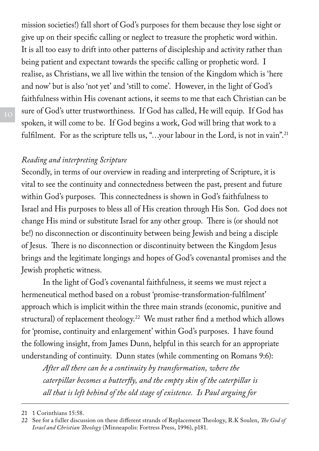mission societies!) fall short of God's purposes for them because they lose sight or give up on their specific calling or neglect to treasure the prophetic word within. It is all too easy to drift into other patterns of discipleship and activity rather than being patient and expectant towards the specific calling or prophetic word. I realise, as Christians, we all live within the tension of the Kingdom which is 'here and now' but is also 'not yet' and 'still to come'. However, in the light of God's faithfulness within His covenant actions, it seems to me that each Christian can be sure of God's utter trustworthiness. If God has called, He will equip. If God has spoken, it will come to be. If God begins a work, God will bring that work to a fulfilment. For as the scripture tells us, "...your labour in the Lord, is not in vain".<sup>21</sup>

## *Reading and interpreting Scripture*

Secondly, in terms of our overview in reading and interpreting of Scripture, it is vital to see the continuity and connectedness between the past, present and future within God's purposes. This connectedness is shown in God's faithfulness to Israel and His purposes to bless all of His creation through His Son. God does not change His mind or substitute Israel for any other group. There is (or should not be!) no disconnection or discontinuity between being Jewish and being a disciple of Jesus. There is no disconnection or discontinuity between the Kingdom Jesus brings and the legitimate longings and hopes of God's covenantal promises and the Jewish prophetic witness.

In the light of God's covenantal faithfulness, it seems we must reject a hermeneutical method based on a robust 'promise-transformation-fulfilment' approach which is implicit within the three main strands (economic, punitive and structural) of replacement theology.22 We must rather find a method which allows for 'promise, continuity and enlargement' within God's purposes. I have found the following insight, from James Dunn, helpful in this search for an appropriate understanding of continuity. Dunn states (while commenting on Romans 9:6):

*After all there can be a continuity by transformation, where the caterpillar becomes a butterfly, and the empty skin of the caterpillar is all that is left behind of the old stage of existence. Is Paul arguing for* 

<sup>21</sup> 1 Corinthians 15:58.

<sup>22</sup> See for a fuller discussion on these different strands of Replacement Theology, R.K Soulen, *The God of Israel and Christian Theology* (Minneapolis: Fortress Press, 1996), p181.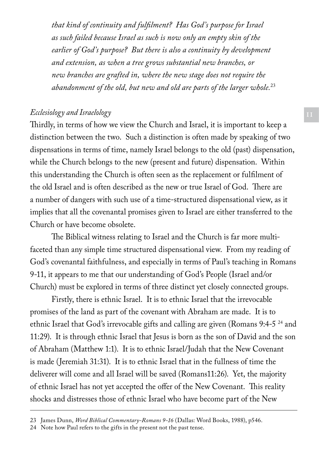*that kind of continuity and fulfilment? Has God's purpose for Israel as such failed because Israel as such is now only an empty skin of the earlier of God's purpose? But there is also a continuity by development and extension, as when a tree grows substantial new branches, or new branches are grafted in, where the new stage does not require the abandonment of the old, but new and old are parts of the larger whole.*<sup>23</sup>

## *Ecclesiology and Israelology*

Thirdly, in terms of how we view the Church and Israel, it is important to keep a distinction between the two. Such a distinction is often made by speaking of two dispensations in terms of time, namely Israel belongs to the old (past) dispensation, while the Church belongs to the new (present and future) dispensation. Within this understanding the Church is often seen as the replacement or fulfilment of the old Israel and is often described as the new or true Israel of God. There are a number of dangers with such use of a time-structured dispensational view, as it implies that all the covenantal promises given to Israel are either transferred to the Church or have become obsolete.

The Biblical witness relating to Israel and the Church is far more multifaceted than any simple time structured dispensational view. From my reading of God's covenantal faithfulness, and especially in terms of Paul's teaching in Romans 9-11, it appears to me that our understanding of God's People (Israel and/or Church) must be explored in terms of three distinct yet closely connected groups.

Firstly, there is ethnic Israel. It is to ethnic Israel that the irrevocable promises of the land as part of the covenant with Abraham are made. It is to ethnic Israel that God's irrevocable gifts and calling are given (Romans 9:4-5 24 and 11:29). It is through ethnic Israel that Jesus is born as the son of David and the son of Abraham (Matthew 1:1). It is to ethnic Israel/Judah that the New Covenant is made (Jeremiah 31:31). It is to ethnic Israel that in the fullness of time the deliverer will come and all Israel will be saved (Romans11:26). Yet, the majority of ethnic Israel has not yet accepted the offer of the New Covenant. This reality shocks and distresses those of ethnic Israel who have become part of the New

<sup>23</sup> James Dunn, *Word Biblical Commentary-Romans 9-16* (Dallas: Word Books, 1988), p546.

<sup>24</sup> Note how Paul refers to the gifts in the present not the past tense.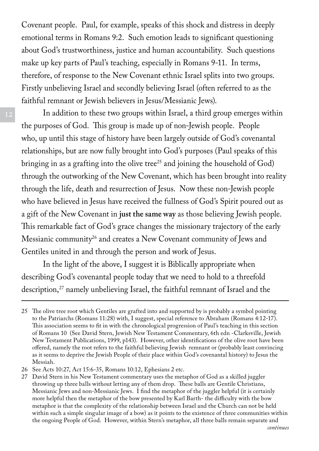Covenant people. Paul, for example, speaks of this shock and distress in deeply emotional terms in Romans 9:2. Such emotion leads to significant questioning about God's trustworthiness, justice and human accountability. Such questions make up key parts of Paul's teaching, especially in Romans 9-11. In terms, therefore, of response to the New Covenant ethnic Israel splits into two groups. Firstly unbelieving Israel and secondly believing Israel (often referred to as the faithful remnant or Jewish believers in Jesus/Messianic Jews).

In addition to these two groups within Israel, a third group emerges within the purposes of God. This group is made up of non-Jewish people. People who, up until this stage of history have been largely outside of God's covenantal relationships, but are now fully brought into God's purposes (Paul speaks of this bringing in as a grafting into the olive tree<sup>25</sup> and joining the household of  $God)$ through the outworking of the New Covenant, which has been brought into reality through the life, death and resurrection of Jesus. Now these non-Jewish people who have believed in Jesus have received the fullness of God's Spirit poured out as a gift of the New Covenant in **just the same way** as those believing Jewish people. This remarkable fact of God's grace changes the missionary trajectory of the early Messianic community<sup>26</sup> and creates a New Covenant community of Jews and Gentiles united in and through the person and work of Jesus.

In the light of the above, I suggest it is Biblically appropriate when describing God's covenantal people today that we need to hold to a threefold description,<sup>27</sup> namely unbelieving Israel, the faithful remnant of Israel and the

<sup>25</sup> The olive tree root which Gentiles are grafted into and supported by is probably a symbol pointing to the Patriarchs (Romans 11:28) with, I suggest, special reference to Abraham (Romans 4:12-17). This association seems to fit in with the chronological progression of Paul's teaching in this section of Romans 10 (See David Stern, Jewish New Testament Commentary, 6th edn -Clarksville, Jewish New Testament Publications, 1999, p143). However, other identifications of the olive root have been offered, namely the root refers to the faithful believing Jewish remnant or (probably least convincing as it seems to deprive the Jewish People of their place within God's covenantal history) to Jesus the Messiah.

<sup>26</sup> See Acts 10:27, Act 15:6-35, Romans 10:12, Ephesians 2 etc.

<sup>27</sup> David Stern in his New Testament commentary uses the metaphor of God as a skilled juggler throwing up three balls without letting any of them drop. These balls are Gentile Christians, Messianic Jews and non-Messianic Jews. I find the metaphor of the juggler helpful (it is certainly more helpful then the metaphor of the bow presented by Karl Barth- the difficulty with the bow metaphor is that the complexity of the relationship between Israel and the Church can not be held within such a simple singular image of a bow) as it points to the existence of three communities within the ongoing People of God. However, within Stern's metaphor, all three balls remain separate and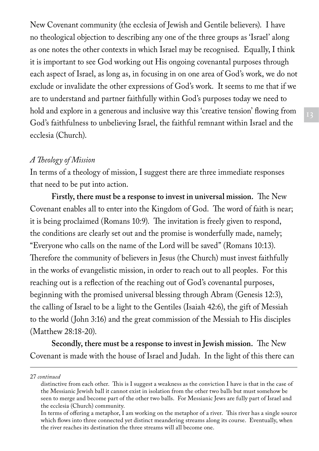New Covenant community (the ecclesia of Jewish and Gentile believers). I have no theological objection to describing any one of the three groups as 'Israel' along as one notes the other contexts in which Israel may be recognised. Equally, I think it is important to see God working out His ongoing covenantal purposes through each aspect of Israel, as long as, in focusing in on one area of God's work, we do not exclude or invalidate the other expressions of God's work. It seems to me that if we are to understand and partner faithfully within God's purposes today we need to hold and explore in a generous and inclusive way this 'creative tension' flowing from God's faithfulness to unbelieving Israel, the faithful remnant within Israel and the ecclesia (Church).

# *A Theology of Mission*

In terms of a theology of mission, I suggest there are three immediate responses that need to be put into action.

**Firstly, there must be a response to invest in universal mission.** The New Covenant enables all to enter into the Kingdom of God. The word of faith is near; it is being proclaimed (Romans 10:9). The invitation is freely given to respond, the conditions are clearly set out and the promise is wonderfully made, namely; "Everyone who calls on the name of the Lord will be saved" (Romans 10:13). Therefore the community of believers in Jesus (the Church) must invest faithfully in the works of evangelistic mission, in order to reach out to all peoples. For this reaching out is a reflection of the reaching out of God's covenantal purposes, beginning with the promised universal blessing through Abram (Genesis 12:3), the calling of Israel to be a light to the Gentiles (Isaiah 42:6), the gift of Messiah to the world (John 3:16) and the great commission of the Messiah to His disciples (Matthew 28:18-20).

**Secondly, there must be a response to invest in Jewish mission.** The New Covenant is made with the house of Israel and Judah. In the light of this there can

27 *continued*

distinctive from each other. This is I suggest a weakness as the conviction I have is that in the case of the Messianic Jewish ball it cannot exist in isolation from the other two balls but must somehow be seen to merge and become part of the other two balls. For Messianic Jews are fully part of Israel and the ecclesia (Church) community.

In terms of offering a metaphor, I am working on the metaphor of a river. This river has a single source which flows into three connected yet distinct meandering streams along its course. Eventually, when the river reaches its destination the three streams will all become one.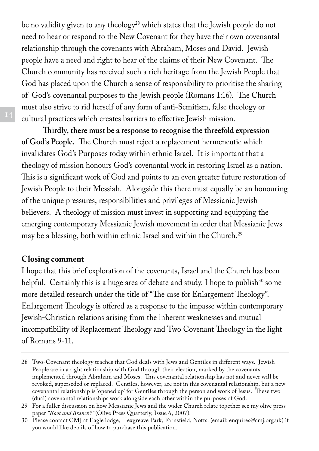be no validity given to any theology<sup>28</sup> which states that the Jewish people do not need to hear or respond to the New Covenant for they have their own covenantal relationship through the covenants with Abraham, Moses and David. Jewish people have a need and right to hear of the claims of their New Covenant. The Church community has received such a rich heritage from the Jewish People that God has placed upon the Church a sense of responsibility to prioritise the sharing of God's covenantal purposes to the Jewish people (Romans 1:16). The Church must also strive to rid herself of any form of anti-Semitism, false theology or cultural practices which creates barriers to effective Jewish mission.

**Thirdly, there must be a response to recognise the threefold expression of God's People.** The Church must reject a replacement hermeneutic which invalidates God's Purposes today within ethnic Israel. It is important that a theology of mission honours God's covenantal work in restoring Israel as a nation. This is a significant work of God and points to an even greater future restoration of Jewish People to their Messiah. Alongside this there must equally be an honouring of the unique pressures, responsibilities and privileges of Messianic Jewish believers. A theology of mission must invest in supporting and equipping the emerging contemporary Messianic Jewish movement in order that Messianic Jews may be a blessing, both within ethnic Israel and within the Church.<sup>29</sup>

## **Closing comment**

I hope that this brief exploration of the covenants, Israel and the Church has been helpful. Certainly this is a huge area of debate and study. I hope to publish $30$  some more detailed research under the title of "The case for Enlargement Theology". Enlargement Theology is offered as a response to the impasse within contemporary Jewish-Christian relations arising from the inherent weaknesses and mutual incompatibility of Replacement Theology and Two Covenant Theology in the light of Romans 9-11.

<sup>28</sup> Two-Covenant theology teaches that God deals with Jews and Gentiles in different ways. Jewish People are in a right relationship with God through their election, marked by the covenants implemented through Abraham and Moses. This covenantal relationship has not and never will be revoked, superseded or replaced. Gentiles, however, are not in this covenantal relationship, but a new covenantal relationship is 'opened up' for Gentiles through the person and work of Jesus. These two (dual) covenantal relationships work alongside each other within the purposes of God.

<sup>29</sup> For a fuller discussion on how Messianic Jews and the wider Church relate together see my olive press paper *"Root and Branch?"* (Olive Press Quarterly, Issue 6, 2007).

<sup>30</sup> Please contact CMJ at Eagle lodge, Hexgreave Park, Farnsfield, Notts. (email: enquires@cmj.org.uk) if you would like details of how to purchase this publication.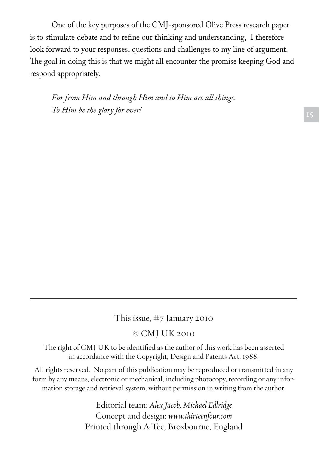One of the key purposes of the CMJ-sponsored Olive Press research paper is to stimulate debate and to refine our thinking and understanding, I therefore look forward to your responses, questions and challenges to my line of argument. The goal in doing this is that we might all encounter the promise keeping God and respond appropriately.

*For from Him and through Him and to Him are all things. To Him be the glory for ever!* 

This issue, #7 January 2010

© CMJ UK 2010

The right of CMJ UK to be identified as the author of this work has been asserted in accordance with the Copyright, Design and Patents Act, 1988.

All rights reserved. No part of this publication may be reproduced or transmitted in any form by any means, electronic or mechanical, including photocopy, recording or any information storage and retrieval system, without permission in writing from the author.

> Editorial team: *Alex Jacob, Michael Edlridge* Concept and design: *www.thirteenfour.com* Printed through A-Tec, Broxbourne, England